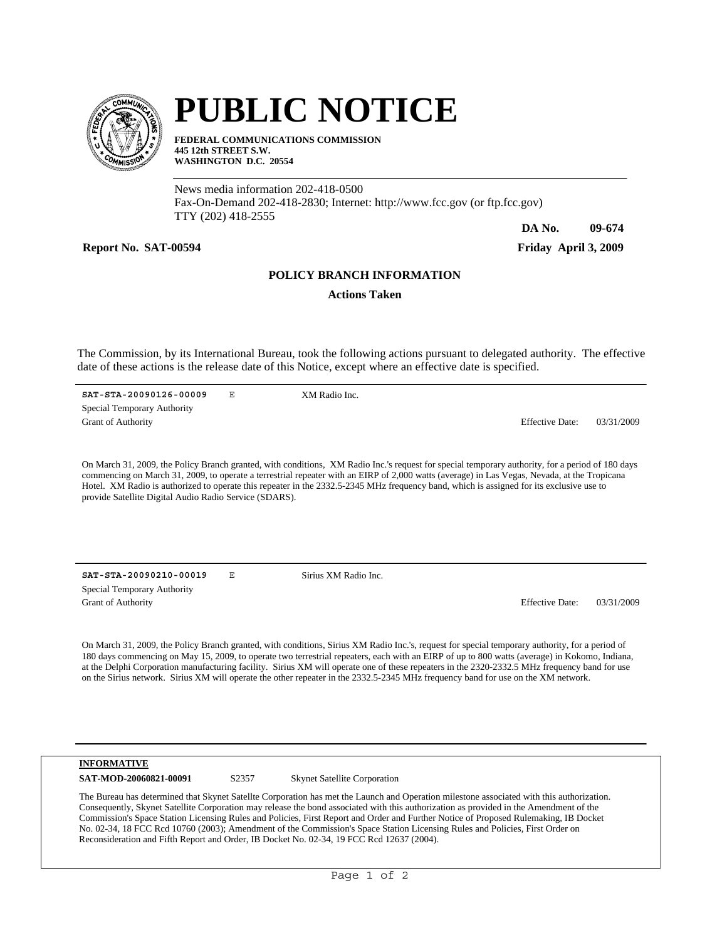

# **PUBLIC NOTICE**

**FEDERAL COMMUNICATIONS COMMISSION 445 12th STREET S.W. WASHINGTON D.C. 20554**

News media information 202-418-0500 Fax-On-Demand 202-418-2830; Internet: http://www.fcc.gov (or ftp.fcc.gov) TTY (202) 418-2555

**Report No. SAT-00594 Friday April 3, 2009**

**DA No. 09-674**

## **POLICY BRANCH INFORMATION**

**Actions Taken**

The Commission, by its International Bureau, took the following actions pursuant to delegated authority. The effective date of these actions is the release date of this Notice, except where an effective date is specified.

**SAT-STA-20090126-00009** E Grant of Authority Effective Date: 03/31/2009 Special Temporary Authority XM Radio Inc.

On March 31, 2009, the Policy Branch granted, with conditions, XM Radio Inc.'s request for special temporary authority, for a period of 180 days commencing on March 31, 2009, to operate a terrestrial repeater with an EIRP of 2,000 watts (average) in Las Vegas, Nevada, at the Tropicana Hotel. XM Radio is authorized to operate this repeater in the 2332.5-2345 MHz frequency band, which is assigned for its exclusive use to provide Satellite Digital Audio Radio Service (SDARS).

**SAT-STA-20090210-00019** E Grant of Authority Effective Date: 03/31/2009 Special Temporary Authority

Sirius XM Radio Inc.

On March 31, 2009, the Policy Branch granted, with conditions, Sirius XM Radio Inc.'s, request for special temporary authority, for a period of 180 days commencing on May 15, 2009, to operate two terrestrial repeaters, each with an EIRP of up to 800 watts (average) in Kokomo, Indiana, at the Delphi Corporation manufacturing facility. Sirius XM will operate one of these repeaters in the 2320-2332.5 MHz frequency band for use on the Sirius network. Sirius XM will operate the other repeater in the 2332.5-2345 MHz frequency band for use on the XM network.

### **INFORMATIVE**

SAT-MOD-20060821-00091 S2357 Skynet Satellite Corporation

The Bureau has determined that Skynet Satellte Corporation has met the Launch and Operation milestone associated with this authorization. Consequently, Skynet Satellite Corporation may release the bond associated with this authorization as provided in the Amendment of the Commission's Space Station Licensing Rules and Policies, First Report and Order and Further Notice of Proposed Rulemaking, IB Docket No. 02-34, 18 FCC Rcd 10760 (2003); Amendment of the Commission's Space Station Licensing Rules and Policies, First Order on Reconsideration and Fifth Report and Order, IB Docket No. 02-34, 19 FCC Rcd 12637 (2004).